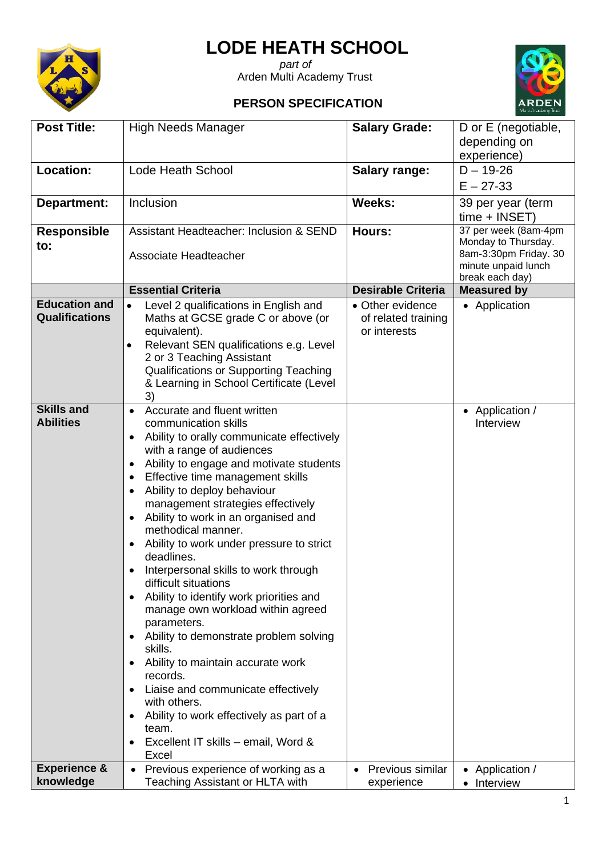

## **LODE HEATH SCHOOL**

 *part of* Arden Multi Academy Trust

## **PERSON SPECIFICATION**



|                                               |                                                                                                                                                                                                                                                                                                                                                                                                                                                                                                                                                                                                                                                                                                                                                                                                                                                                                                                                    |                                                         | Multi-Academy Trust                                                                                            |
|-----------------------------------------------|------------------------------------------------------------------------------------------------------------------------------------------------------------------------------------------------------------------------------------------------------------------------------------------------------------------------------------------------------------------------------------------------------------------------------------------------------------------------------------------------------------------------------------------------------------------------------------------------------------------------------------------------------------------------------------------------------------------------------------------------------------------------------------------------------------------------------------------------------------------------------------------------------------------------------------|---------------------------------------------------------|----------------------------------------------------------------------------------------------------------------|
| <b>Post Title:</b>                            | <b>High Needs Manager</b>                                                                                                                                                                                                                                                                                                                                                                                                                                                                                                                                                                                                                                                                                                                                                                                                                                                                                                          | <b>Salary Grade:</b>                                    | D or E (negotiable,<br>depending on<br>experience)                                                             |
| Location:                                     | <b>Lode Heath School</b>                                                                                                                                                                                                                                                                                                                                                                                                                                                                                                                                                                                                                                                                                                                                                                                                                                                                                                           | <b>Salary range:</b>                                    | $D - 19 - 26$                                                                                                  |
|                                               |                                                                                                                                                                                                                                                                                                                                                                                                                                                                                                                                                                                                                                                                                                                                                                                                                                                                                                                                    |                                                         | $E - 27 - 33$                                                                                                  |
| Department:                                   | Inclusion                                                                                                                                                                                                                                                                                                                                                                                                                                                                                                                                                                                                                                                                                                                                                                                                                                                                                                                          | Weeks:                                                  | 39 per year (term<br>$time + INSET$                                                                            |
| <b>Responsible</b><br>to:                     | Assistant Headteacher: Inclusion & SEND<br>Associate Headteacher                                                                                                                                                                                                                                                                                                                                                                                                                                                                                                                                                                                                                                                                                                                                                                                                                                                                   | Hours:                                                  | 37 per week (8am-4pm<br>Monday to Thursday.<br>8am-3:30pm Friday. 30<br>minute unpaid lunch<br>break each day) |
|                                               | <b>Essential Criteria</b>                                                                                                                                                                                                                                                                                                                                                                                                                                                                                                                                                                                                                                                                                                                                                                                                                                                                                                          | <b>Desirable Criteria</b>                               | <b>Measured by</b>                                                                                             |
| <b>Education and</b><br><b>Qualifications</b> | Level 2 qualifications in English and<br>Maths at GCSE grade C or above (or<br>equivalent).<br>Relevant SEN qualifications e.g. Level<br>$\bullet$<br>2 or 3 Teaching Assistant<br>Qualifications or Supporting Teaching<br>& Learning in School Certificate (Level<br>3)                                                                                                                                                                                                                                                                                                                                                                                                                                                                                                                                                                                                                                                          | • Other evidence<br>of related training<br>or interests | • Application                                                                                                  |
| <b>Skills and</b><br><b>Abilities</b>         | Accurate and fluent written<br>$\bullet$<br>communication skills<br>Ability to orally communicate effectively<br>with a range of audiences<br>Ability to engage and motivate students<br>Effective time management skills<br>Ability to deploy behaviour<br>$\bullet$<br>management strategies effectively<br>Ability to work in an organised and<br>methodical manner.<br>Ability to work under pressure to strict<br>deadlines.<br>Interpersonal skills to work through<br>difficult situations<br>Ability to identify work priorities and<br>$\bullet$<br>manage own workload within agreed<br>parameters.<br>Ability to demonstrate problem solving<br>skills.<br>Ability to maintain accurate work<br>$\bullet$<br>records.<br>Liaise and communicate effectively<br>$\bullet$<br>with others.<br>Ability to work effectively as part of a<br>$\bullet$<br>team.<br>Excellent IT skills - email, Word &<br>$\bullet$<br>Excel |                                                         | • Application /<br>Interview                                                                                   |
| <b>Experience &amp;</b>                       | Previous experience of working as a                                                                                                                                                                                                                                                                                                                                                                                                                                                                                                                                                                                                                                                                                                                                                                                                                                                                                                | Previous similar                                        | Application /                                                                                                  |
| knowledge                                     | <b>Teaching Assistant or HLTA with</b>                                                                                                                                                                                                                                                                                                                                                                                                                                                                                                                                                                                                                                                                                                                                                                                                                                                                                             | experience                                              | Interview                                                                                                      |